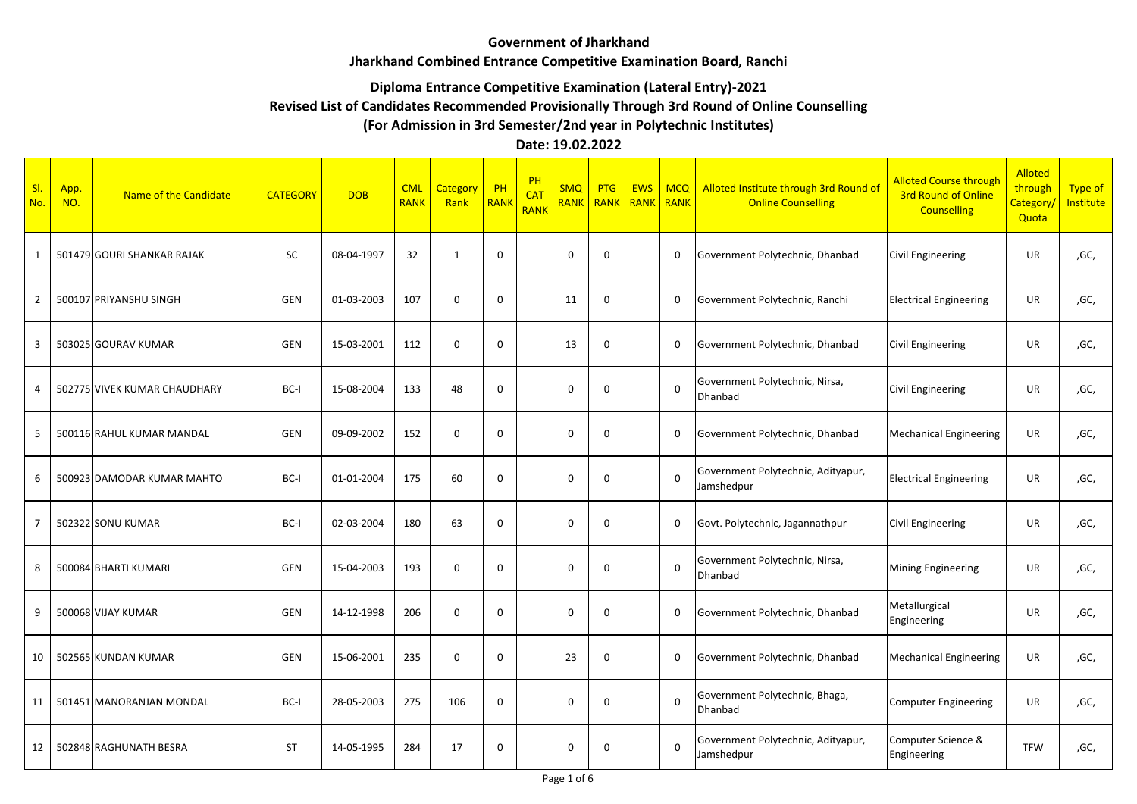### **Government of Jharkhand**

#### **Jharkhand Combined Entrance Competitive Examination Board, Ranchi**

### **Diploma Entrance Competitive Examination (Lateral Entry)-2021**

# **Revised List of Candidates Recommended Provisionally Through 3rd Round of Online Counselling**

# **(For Admission in 3rd Semester/2nd year in Polytechnic Institutes)**

## **Date: 19.02.2022**

| SI.<br>No.     | App.<br>NO. | Name of the Candidate        | <b>CATEGORY</b> | <b>DOB</b> | <b>CML</b><br><b>RANK</b> | Category<br>Rank | PH<br><b>RANK</b> | PH<br><b>CAT</b><br><b>RANK</b> | <b>SMQ</b><br><b>RANK</b> | <b>PTG</b><br>RANK | <b>EWS</b><br><b>RANK</b> | $ $ MCQ<br>RANK | Alloted Institute through 3rd Round of<br><b>Online Counselling</b> | <b>Alloted Course through</b><br><b>3rd Round of Online</b><br><b>Counselling</b> | <b>Alloted</b><br>through<br>Category<br>Quota | <b>Type of</b><br>Institute |
|----------------|-------------|------------------------------|-----------------|------------|---------------------------|------------------|-------------------|---------------------------------|---------------------------|--------------------|---------------------------|-----------------|---------------------------------------------------------------------|-----------------------------------------------------------------------------------|------------------------------------------------|-----------------------------|
| $\mathbf{1}$   |             | 501479 GOURI SHANKAR RAJAK   | SC              | 08-04-1997 | 32                        | $\mathbf{1}$     | $\mathbf{0}$      |                                 | $\mathbf 0$               | $\mathbf 0$        |                           | $\mathbf{0}$    | Government Polytechnic, Dhanbad                                     | <b>Civil Engineering</b>                                                          | UR                                             | ,GC,                        |
| $\overline{2}$ |             | 500107 PRIYANSHU SINGH       | <b>GEN</b>      | 01-03-2003 | 107                       | $\Omega$         | $\Omega$          |                                 | 11                        | $\Omega$           |                           | $\mathbf{0}$    | Government Polytechnic, Ranchi                                      | <b>Electrical Engineering</b>                                                     | <b>UR</b>                                      | ,GC,                        |
| 3              |             | 503025 GOURAV KUMAR          | <b>GEN</b>      | 15-03-2001 | 112                       | $\Omega$         | $\mathbf 0$       |                                 | 13                        | $\Omega$           |                           | $\mathbf{0}$    | Government Polytechnic, Dhanbad                                     | <b>Civil Engineering</b>                                                          | UR                                             | ,GC,                        |
| 4              |             | 502775 VIVEK KUMAR CHAUDHARY | BC-I            | 15-08-2004 | 133                       | 48               | $\mathbf 0$       |                                 | $\Omega$                  | $\Omega$           |                           | $\Omega$        | Government Polytechnic, Nirsa,<br>Dhanbad                           | <b>Civil Engineering</b>                                                          | UR                                             | ,GC,                        |
| 5              |             | 500116 RAHUL KUMAR MANDAL    | <b>GEN</b>      | 09-09-2002 | 152                       | $\mathbf{0}$     | $\mathbf 0$       |                                 | $\Omega$                  | $\Omega$           |                           | $\mathbf{0}$    | Government Polytechnic, Dhanbad                                     | <b>Mechanical Engineering</b>                                                     | <b>UR</b>                                      | ,GC,                        |
| 6              |             | 500923 DAMODAR KUMAR MAHTO   | BC-I            | 01-01-2004 | 175                       | 60               | $\mathbf 0$       |                                 | $\Omega$                  | $\Omega$           |                           | $\Omega$        | Government Polytechnic, Adityapur,<br>Jamshedpur                    | <b>Electrical Engineering</b>                                                     | <b>UR</b>                                      | ,GC,                        |
| $\overline{7}$ |             | 502322 SONU KUMAR            | BC-I            | 02-03-2004 | 180                       | 63               | $\Omega$          |                                 | $\Omega$                  | $\Omega$           |                           | $\mathbf{0}$    | Govt. Polytechnic, Jagannathpur                                     | <b>Civil Engineering</b>                                                          | <b>UR</b>                                      | ,GC,                        |
| 8              |             | 500084 BHARTI KUMARI         | <b>GEN</b>      | 15-04-2003 | 193                       | $\mathbf{0}$     | 0                 |                                 | $\Omega$                  | $\Omega$           |                           | $\Omega$        | Government Polytechnic, Nirsa,<br>Dhanbad                           | <b>Mining Engineering</b>                                                         | <b>UR</b>                                      | ,GC,                        |
| 9              |             | 500068 VIJAY KUMAR           | GEN             | 14-12-1998 | 206                       | $\mathbf{0}$     | 0                 |                                 | $\mathbf 0$               | $\mathbf 0$        |                           | 0               | Government Polytechnic, Dhanbad                                     | Metallurgical<br>Engineering                                                      | UR                                             | ,GC,                        |
| 10             |             | 502565 KUNDAN KUMAR          | <b>GEN</b>      | 15-06-2001 | 235                       | $\mathbf{0}$     | $\mathbf 0$       |                                 | 23                        | $\mathbf{0}$       |                           | $\mathbf{0}$    | Government Polytechnic, Dhanbad                                     | <b>Mechanical Engineering</b>                                                     | <b>UR</b>                                      | ,GC,                        |
| 11             |             | 501451 MANORANJAN MONDAL     | BC-I            | 28-05-2003 | 275                       | 106              | $\mathbf 0$       |                                 | $\mathbf 0$               | $\mathbf{0}$       |                           | $\Omega$        | Government Polytechnic, Bhaga,<br>Dhanbad                           | Computer Engineering                                                              | <b>UR</b>                                      | ,GC,                        |
| 12             |             | 502848 RAGHUNATH BESRA       | <b>ST</b>       | 14-05-1995 | 284                       | 17               | $\mathbf 0$       |                                 | $\Omega$                  | $\Omega$           |                           | $\Omega$        | Government Polytechnic, Adityapur,<br>Jamshedpur                    | Computer Science &<br>Engineering                                                 | <b>TFW</b>                                     | ,GC,                        |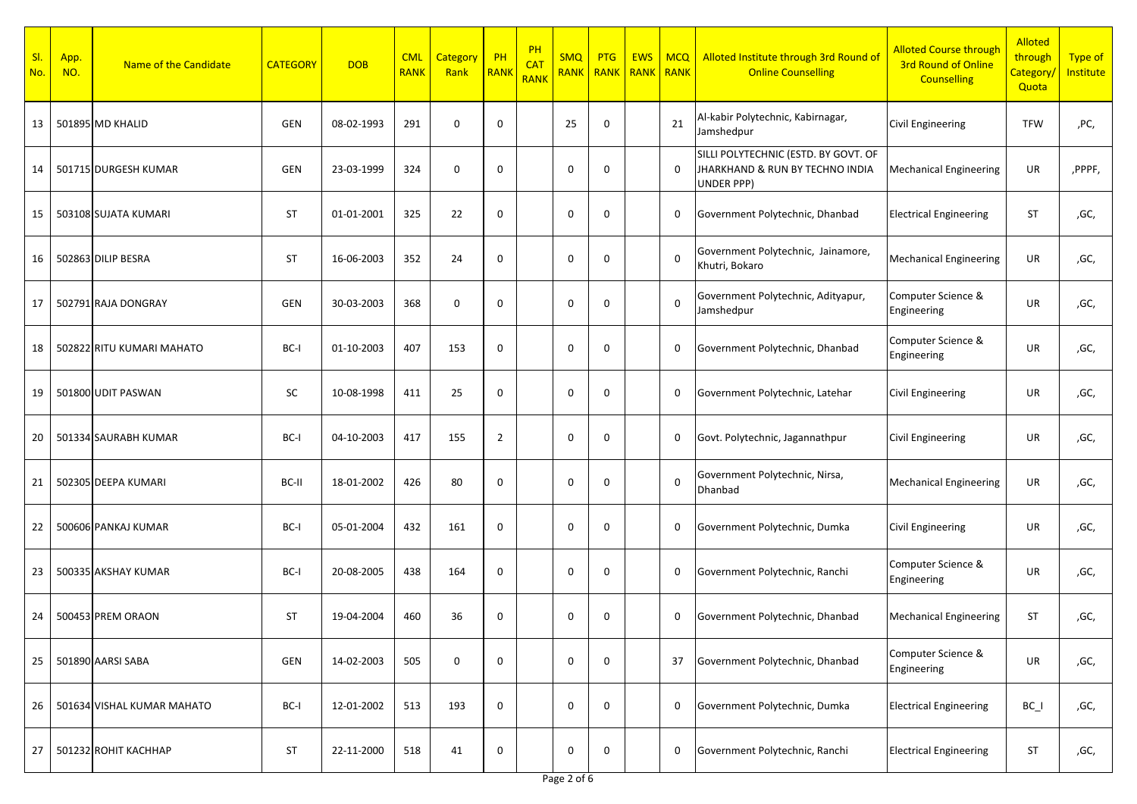| SI.<br>No. | App.<br>NO. | Name of the Candidate      | <b>CATEGORY</b> | <b>DOB</b> | <b>CML</b><br><b>RANK</b> | <b>Category</b><br>Rank | PH<br>RANI     | PH<br><b>CAT</b><br>RANK | <b>SMQ</b><br><b>RANK</b> | <b>PTG</b><br><b>RANK</b> | <b>EWS</b><br><b>RANK</b> | MCQ<br>RANK | Alloted Institute through 3rd Round of<br><b>Online Counselling</b>                          | <b>Alloted Course through</b><br><b>3rd Round of Online</b><br><b>Counselling</b> | <b>Alloted</b><br>through<br>Category/<br>Quota | Type of<br>Institute |
|------------|-------------|----------------------------|-----------------|------------|---------------------------|-------------------------|----------------|--------------------------|---------------------------|---------------------------|---------------------------|-------------|----------------------------------------------------------------------------------------------|-----------------------------------------------------------------------------------|-------------------------------------------------|----------------------|
| 13         |             | 501895 MD KHALID           | <b>GEN</b>      | 08-02-1993 | 291                       | $\mathbf 0$             | 0              |                          | 25                        | $\mathbf 0$               |                           | 21          | Al-kabir Polytechnic, Kabirnagar,<br>Jamshedpur                                              | Civil Engineering                                                                 | <b>TFW</b>                                      | ,PC,                 |
| 14         |             | 501715 DURGESH KUMAR       | <b>GEN</b>      | 23-03-1999 | 324                       | $\mathbf 0$             | $\mathbf 0$    |                          | $\mathbf{0}$              | $\mathbf 0$               |                           | 0           | SILLI POLYTECHNIC (ESTD. BY GOVT. OF<br>JHARKHAND & RUN BY TECHNO INDIA<br><b>UNDER PPP)</b> | <b>Mechanical Engineering</b>                                                     | UR                                              | ,PPPF,               |
| 15         |             | 503108 SUJATA KUMARI       | <b>ST</b>       | 01-01-2001 | 325                       | 22                      | 0              |                          | $\mathbf 0$               | 0                         |                           | 0           | Government Polytechnic, Dhanbad                                                              | <b>Electrical Engineering</b>                                                     | <b>ST</b>                                       | ,GC,                 |
| 16         |             | 502863 DILIP BESRA         | <b>ST</b>       | 16-06-2003 | 352                       | 24                      | $\mathbf 0$    |                          | $\mathbf{0}$              | 0                         |                           | $\Omega$    | Government Polytechnic, Jainamore,<br>Khutri, Bokaro                                         | <b>Mechanical Engineering</b>                                                     | UR                                              | ,GC,                 |
| 17         |             | 502791 RAJA DONGRAY        | <b>GEN</b>      | 30-03-2003 | 368                       | 0                       | 0              |                          | $\mathbf 0$               | 0                         |                           | $\Omega$    | Government Polytechnic, Adityapur,<br>Jamshedpur                                             | Computer Science &<br>Engineering                                                 | UR                                              | ,GC,                 |
| 18         |             | 502822 RITU KUMARI MAHATO  | BC-I            | 01-10-2003 | 407                       | 153                     | $\mathbf 0$    |                          | $\mathbf{0}$              | $\mathbf 0$               |                           | 0           | Government Polytechnic, Dhanbad                                                              | Computer Science &<br>Engineering                                                 | UR                                              | ,GC,                 |
| 19         |             | 501800 UDIT PASWAN         | SC              | 10-08-1998 | 411                       | 25                      | 0              |                          | $\mathbf 0$               | 0                         |                           | 0           | Government Polytechnic, Latehar                                                              | Civil Engineering                                                                 | UR                                              | ,GC,                 |
| 20         |             | 501334 SAURABH KUMAR       | BC-I            | 04-10-2003 | 417                       | 155                     | $\overline{2}$ |                          | $\mathbf{0}$              | $\mathbf 0$               |                           | 0           | Govt. Polytechnic, Jagannathpur                                                              | <b>Civil Engineering</b>                                                          | UR                                              | ,GC,                 |
| 21         |             | 502305 DEEPA KUMARI        | BC-II           | 18-01-2002 | 426                       | 80                      | $\mathbf 0$    |                          | $\mathbf 0$               | 0                         |                           | $\Omega$    | Government Polytechnic, Nirsa,<br>Dhanbad                                                    | <b>Mechanical Engineering</b>                                                     | UR                                              | ,GC,                 |
| 22         |             | 500606 PANKAJ KUMAR        | BC-I            | 05-01-2004 | 432                       | 161                     | $\mathbf 0$    |                          | $\mathbf{0}$              | $\mathbf 0$               |                           | 0           | Government Polytechnic, Dumka                                                                | <b>Civil Engineering</b>                                                          | <b>UR</b>                                       | ,GC,                 |
| 23         |             | 500335 AKSHAY KUMAR        | BC-I            | 20-08-2005 | 438                       | 164                     | $\mathbf 0$    |                          | $\mathbf{0}$              | $\mathbf 0$               |                           | $\Omega$    | Government Polytechnic, Ranchi                                                               | Computer Science &<br>Engineering                                                 | UR                                              | ,GC,                 |
| 24         |             | 500453 PREM ORAON          | <b>ST</b>       | 19-04-2004 | 460                       | 36                      | $\mathbf{0}$   |                          | $\mathbf{0}$              | $\mathbf 0$               |                           | 0           | Government Polytechnic, Dhanbad                                                              | <b>Mechanical Engineering</b>                                                     | <b>ST</b>                                       | ,GC,                 |
| 25         |             | 501890 AARSI SABA          | GEN             | 14-02-2003 | 505                       | $\mathbf 0$             | $\mathbf 0$    |                          | $\mathbf 0$               | 0                         |                           | 37          | Government Polytechnic, Dhanbad                                                              | Computer Science &<br>Engineering                                                 | UR                                              | ,GC,                 |
| 26         |             | 501634 VISHAL KUMAR MAHATO | $BC-I$          | 12-01-2002 | 513                       | 193                     | $\mathbf 0$    |                          | $\mathbf 0$               | 0                         |                           | 0           | Government Polytechnic, Dumka                                                                | <b>Electrical Engineering</b>                                                     | $BC_$                                           | ,GC,                 |
| 27         |             | 501232 ROHIT KACHHAP       | ST              | 22-11-2000 | 518                       | 41                      | $\mathbf 0$    |                          | 0                         | 0                         |                           | 0           | Government Polytechnic, Ranchi                                                               | <b>Electrical Engineering</b>                                                     | <b>ST</b>                                       | ,GC,                 |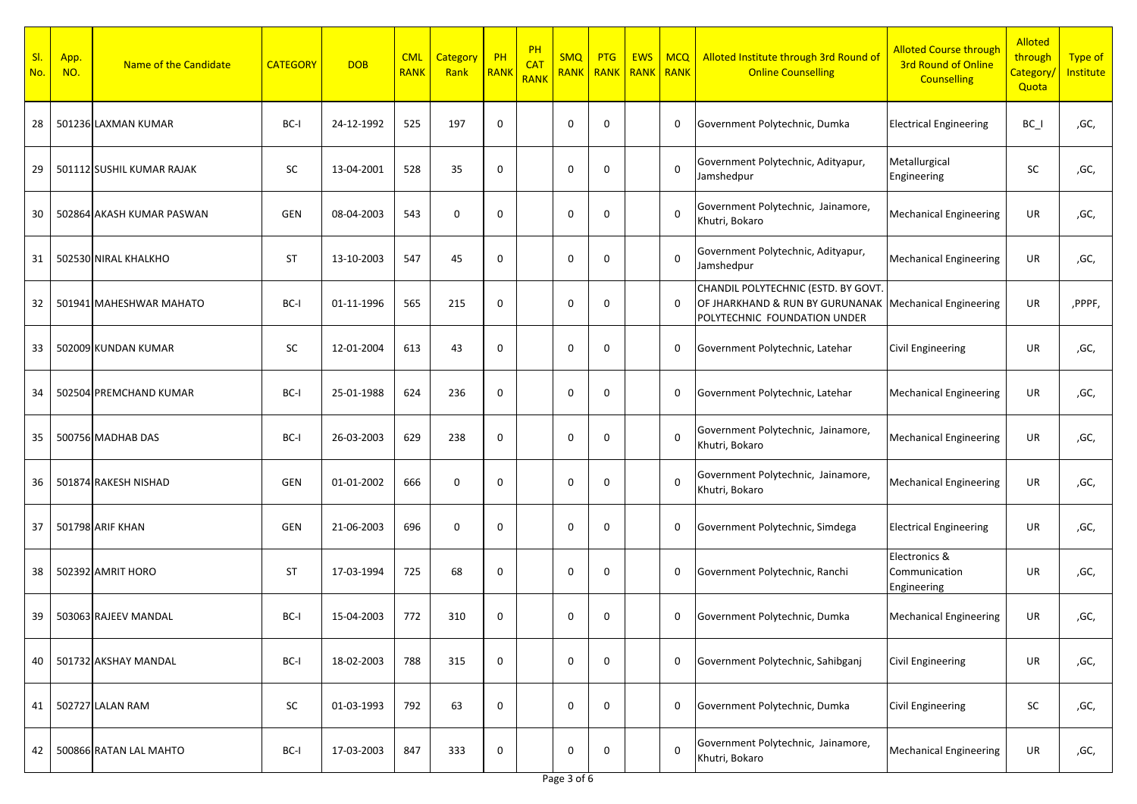| SI.<br>No. | App.<br>NO. | Name of the Candidate     | <b>CATEGORY</b> | <b>DOB</b> | <b>CML</b><br><b>RANK</b> | Category<br>Rank | PH<br>RANI   | PH<br><b>CAT</b><br><b>RANK</b> | <b>SMQ</b><br><b>RANK</b> | <b>PTG</b><br>RANK | <b>EWS</b><br><b>RANK</b> | <b>MCQ</b><br><b>RANK</b> | Alloted Institute through 3rd Round of<br><b>Online Counselling</b>                                    | <b>Alloted Course through</b><br><b>3rd Round of Online</b><br><b>Counselling</b> | <b>Alloted</b><br>through<br>Category/<br>Quota | Type of<br><b>Institute</b> |
|------------|-------------|---------------------------|-----------------|------------|---------------------------|------------------|--------------|---------------------------------|---------------------------|--------------------|---------------------------|---------------------------|--------------------------------------------------------------------------------------------------------|-----------------------------------------------------------------------------------|-------------------------------------------------|-----------------------------|
| 28         |             | 501236 LAXMAN KUMAR       | BC-I            | 24-12-1992 | 525                       | 197              | $\mathbf 0$  |                                 | $\mathbf 0$               | $\Omega$           |                           | 0                         | Government Polytechnic, Dumka                                                                          | <b>Electrical Engineering</b>                                                     | $BC_$                                           | ,GC,                        |
| 29         |             | 501112 SUSHIL KUMAR RAJAK | <b>SC</b>       | 13-04-2001 | 528                       | 35               | $\mathbf 0$  |                                 | $\mathbf 0$               | $\Omega$           |                           | $\mathbf 0$               | Government Polytechnic, Adityapur,<br>Jamshedpur                                                       | Metallurgical<br>Engineering                                                      | SC                                              | ,GC,                        |
| 30         |             | 502864 AKASH KUMAR PASWAN | GEN             | 08-04-2003 | 543                       | $\mathbf 0$      | $\mathbf 0$  |                                 | $\mathbf 0$               | <sup>0</sup>       |                           | $\mathbf 0$               | Government Polytechnic, Jainamore,<br>Khutri, Bokaro                                                   | <b>Mechanical Engineering</b>                                                     | UR                                              | ,GC,                        |
| 31         |             | 502530 NIRAL KHALKHO      | ST              | 13-10-2003 | 547                       | 45               | $\mathbf 0$  |                                 | $\mathbf 0$               | O                  |                           | $\mathbf 0$               | Government Polytechnic, Adityapur,<br>Jamshedpur                                                       | <b>Mechanical Engineering</b>                                                     | UR                                              | ,GC,                        |
| 32         |             | 501941 MAHESHWAR MAHATO   | BC-I            | 01-11-1996 | 565                       | 215              | $\mathbf 0$  |                                 | $\mathbf 0$               | O                  |                           | 0                         | CHANDIL POLYTECHNIC (ESTD. BY GOVT.<br>OF JHARKHAND & RUN BY GURUNANAK<br>POLYTECHNIC FOUNDATION UNDER | <b>Mechanical Engineering</b>                                                     | UR                                              | ,PPPF,                      |
| 33         |             | 502009 KUNDAN KUMAR       | SC              | 12-01-2004 | 613                       | 43               | $\mathbf 0$  |                                 | $\mathbf 0$               | $\Omega$           |                           | $\mathbf 0$               | Government Polytechnic, Latehar                                                                        | <b>Civil Engineering</b>                                                          | UR                                              | ,GC,                        |
| 34         |             | 502504 PREMCHAND KUMAR    | BC-I            | 25-01-1988 | 624                       | 236              | $\mathbf 0$  |                                 | $\mathbf 0$               | <sup>0</sup>       |                           | $\mathbf 0$               | Government Polytechnic, Latehar                                                                        | <b>Mechanical Engineering</b>                                                     | UR                                              | ,GC,                        |
| 35         |             | 500756 MADHAB DAS         | BC-I            | 26-03-2003 | 629                       | 238              | $\mathbf 0$  |                                 | $\mathbf 0$               | $\Omega$           |                           | $\mathbf 0$               | Government Polytechnic, Jainamore,<br>Khutri, Bokaro                                                   | <b>Mechanical Engineering</b>                                                     | UR                                              | ,GC,                        |
| 36         |             | 501874 RAKESH NISHAD      | GEN             | 01-01-2002 | 666                       | $\mathbf 0$      | $\mathbf 0$  |                                 | $\mathbf 0$               | O                  |                           | $\mathbf 0$               | Government Polytechnic, Jainamore,<br>Khutri, Bokaro                                                   | <b>Mechanical Engineering</b>                                                     | UR                                              | ,GC,                        |
| 37         |             | 501798 ARIF KHAN          | GEN             | 21-06-2003 | 696                       | $\mathbf 0$      | $\mathbf 0$  |                                 | $\mathbf 0$               | $\Omega$           |                           | $\mathbf 0$               | Government Polytechnic, Simdega                                                                        | <b>Electrical Engineering</b>                                                     | <b>UR</b>                                       | ,GC,                        |
| 38         |             | 502392 AMRIT HORO         | ST              | 17-03-1994 | 725                       | 68               | $\mathbf{0}$ |                                 | $\mathbf 0$               | $\Omega$           |                           | $\mathbf 0$               | Government Polytechnic, Ranchi                                                                         | Electronics &<br>Communication<br>Engineering                                     | UR                                              | ,GC,                        |
| 39         |             | 503063 RAJEEV MANDAL      | BC-I            | 15-04-2003 | 772                       | 310              | $\mathbf{0}$ |                                 | $\mathbf 0$               | 0                  |                           | 0                         | Government Polytechnic, Dumka                                                                          | <b>Mechanical Engineering</b>                                                     | UR                                              | ,GC,                        |
| 40         |             | 501732 AKSHAY MANDAL      | BC-I            | 18-02-2003 | 788                       | 315              | $\mathbf 0$  |                                 | $\mathbf 0$               | $\mathbf 0$        |                           | $\mathbf 0$               | Government Polytechnic, Sahibganj                                                                      | <b>Civil Engineering</b>                                                          | UR                                              | ,GC,                        |
| 41         |             | 502727 LALAN RAM          | $\sf SC$        | 01-03-1993 | 792                       | 63               | $\mathbf 0$  |                                 | $\mathbf 0$               | 0                  |                           | 0                         | Government Polytechnic, Dumka                                                                          | <b>Civil Engineering</b>                                                          | SC                                              | ,GC,                        |
| 42         |             | 500866 RATAN LAL MAHTO    | BC-I            | 17-03-2003 | 847                       | 333              | $\mathbf 0$  |                                 | 0                         | 0                  |                           | $\mathbf 0$               | Government Polytechnic, Jainamore,<br>Khutri, Bokaro                                                   | <b>Mechanical Engineering</b>                                                     | UR                                              | ,GC,                        |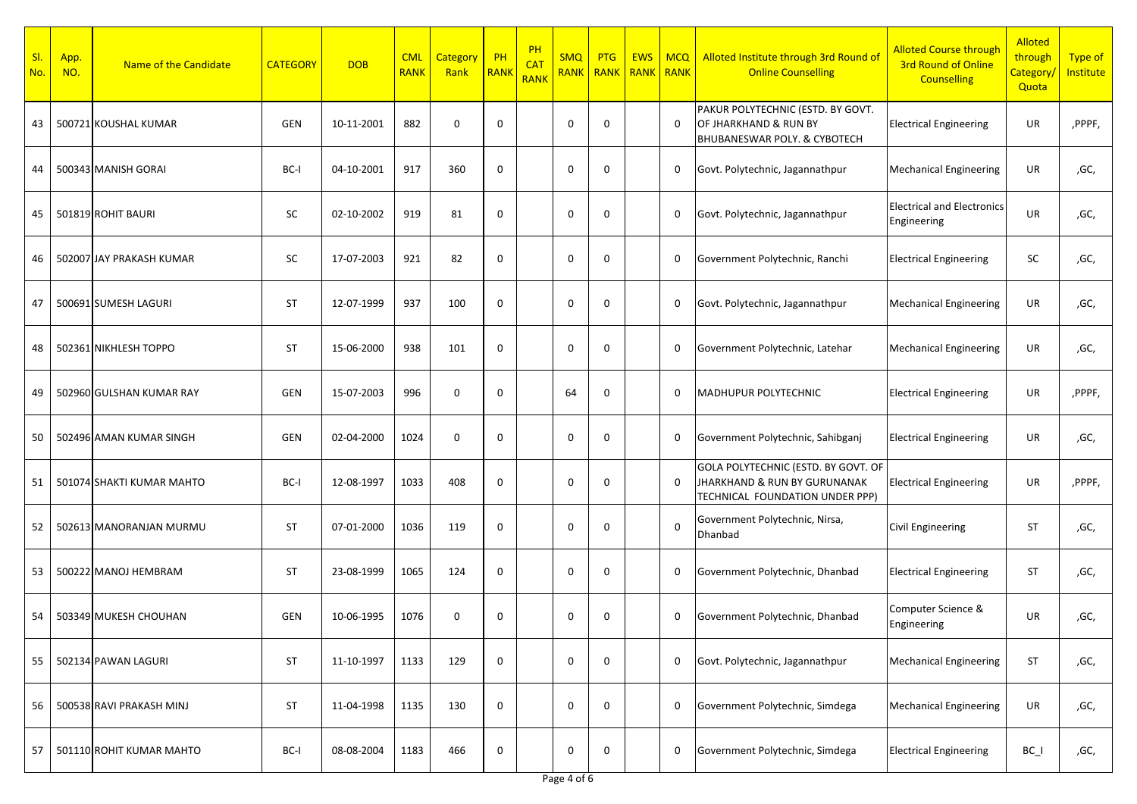| SI.<br>No. | App.<br>NO. | Name of the Candidate     | <b>CATEGORY</b> | <b>DOB</b> | <b>CML</b><br><b>RANK</b> | <b>Category</b><br>Rank | $\overline{P}$ PH<br>RANK | PH<br><b>CAT</b><br><b>RANK</b> | <b>SMQ</b><br><b>RANK</b> | <b>PTG</b><br>RANK | <b>EWS</b><br>RANK | <b>MCQ</b><br><b>RANK</b> | Alloted Institute through 3rd Round of<br><b>Online Counselling</b>                                    | <b>Alloted Course through</b><br><b>3rd Round of Online</b><br><b>Counselling</b> | <b>Alloted</b><br>through<br>Category/<br>Quota | <b>Type of</b><br>Institute |
|------------|-------------|---------------------------|-----------------|------------|---------------------------|-------------------------|---------------------------|---------------------------------|---------------------------|--------------------|--------------------|---------------------------|--------------------------------------------------------------------------------------------------------|-----------------------------------------------------------------------------------|-------------------------------------------------|-----------------------------|
| 43         |             | 500721 KOUSHAL KUMAR      | <b>GEN</b>      | 10-11-2001 | 882                       | $\mathbf 0$             | $\mathbf 0$               |                                 | 0                         | $\Omega$           |                    | $\mathbf 0$               | PAKUR POLYTECHNIC (ESTD. BY GOVT.<br>OF JHARKHAND & RUN BY<br>BHUBANESWAR POLY. & CYBOTECH             | <b>Electrical Engineering</b>                                                     | UR                                              | ,PPPF,                      |
| 44         |             | 500343 MANISH GORAI       | BC-I            | 04-10-2001 | 917                       | 360                     | $\mathbf 0$               |                                 | $\mathbf 0$               | $\Omega$           |                    | 0                         | Govt. Polytechnic, Jagannathpur                                                                        | Mechanical Engineering                                                            | UR                                              | ,GC,                        |
| 45         |             | 501819 ROHIT BAURI        | SC              | 02-10-2002 | 919                       | 81                      | $\mathbf 0$               |                                 | $\mathbf 0$               | $\Omega$           |                    | 0                         | Govt. Polytechnic, Jagannathpur                                                                        | <b>Electrical and Electronics</b><br>Engineering                                  | UR                                              | ,GC,                        |
| 46         |             | 502007 JAY PRAKASH KUMAR  | SC              | 17-07-2003 | 921                       | 82                      | $\mathbf 0$               |                                 | $\mathbf 0$               | $\Omega$           |                    | 0                         | Government Polytechnic, Ranchi                                                                         | <b>Electrical Engineering</b>                                                     | SC                                              | ,GC,                        |
| 47         |             | 500691 SUMESH LAGURI      | ST              | 12-07-1999 | 937                       | 100                     | $\mathbf 0$               |                                 | $\mathbf 0$               | $\Omega$           |                    | 0                         | Govt. Polytechnic, Jagannathpur                                                                        | Mechanical Engineering                                                            | UR                                              | ,GC,                        |
| 48         |             | 502361 NIKHLESH TOPPO     | ST              | 15-06-2000 | 938                       | 101                     | $\mathbf{0}$              |                                 | $\mathbf 0$               | $\Omega$           |                    | $\mathbf 0$               | Government Polytechnic, Latehar                                                                        | <b>Mechanical Engineering</b>                                                     | <b>UR</b>                                       | ,GC,                        |
| 49         |             | 502960 GULSHAN KUMAR RAY  | GEN             | 15-07-2003 | 996                       | $\mathbf 0$             | $\mathbf 0$               |                                 | 64                        | $\Omega$           |                    | 0                         | <b>MADHUPUR POLYTECHNIC</b>                                                                            | <b>Electrical Engineering</b>                                                     | UR                                              | ,PPPF,                      |
| 50         |             | 502496 AMAN KUMAR SINGH   | <b>GEN</b>      | 02-04-2000 | 1024                      | $\mathbf 0$             | $\mathbf{0}$              |                                 | $\Omega$                  | $\Omega$           |                    | 0                         | Government Polytechnic, Sahibganj                                                                      | <b>Electrical Engineering</b>                                                     | <b>UR</b>                                       | ,GC,                        |
| 51         |             | 501074 SHAKTI KUMAR MAHTO | BC-I            | 12-08-1997 | 1033                      | 408                     | $\mathbf{0}$              |                                 | $\mathbf 0$               | $\Omega$           |                    | 0                         | GOLA POLYTECHNIC (ESTD. BY GOVT. OF<br>JHARKHAND & RUN BY GURUNANAK<br>TECHNICAL FOUNDATION UNDER PPP) | <b>Electrical Engineering</b>                                                     | UR                                              | ,PPPF,                      |
| 52         |             | 502613 MANORANJAN MURMU   | ST              | 07-01-2000 | 1036                      | 119                     | $\mathbf{0}$              |                                 | $\mathbf 0$               | $\Omega$           |                    | $\Omega$                  | Government Polytechnic, Nirsa,<br>Dhanbad                                                              | <b>Civil Engineering</b>                                                          | <b>ST</b>                                       | ,GC,                        |
| 53         |             | 500222 MANOJ HEMBRAM      | ST              | 23-08-1999 | 1065                      | 124                     | $\mathbf 0$               |                                 | $\mathbf 0$               | $\Omega$           |                    | $\mathbf 0$               | Government Polytechnic, Dhanbad                                                                        | <b>Electrical Engineering</b>                                                     | ST                                              | ,GC,                        |
| 54         |             | 503349 MUKESH CHOUHAN     | GEN             | 10-06-1995 | 1076                      | $\mathbf 0$             | $\mathbf 0$               |                                 | $\mathbf 0$               | $\Omega$           |                    | 0                         | Government Polytechnic, Dhanbad                                                                        | Computer Science &<br>Engineering                                                 | UR                                              | ,GC,                        |
| 55         |             | 502134 PAWAN LAGURI       | ST              | 11-10-1997 | 1133                      | 129                     | $\mathbf 0$               |                                 | 0                         | 0                  |                    | $\mathbf 0$               | Govt. Polytechnic, Jagannathpur                                                                        | <b>Mechanical Engineering</b>                                                     | ST                                              | ,GC,                        |
| 56         |             | 500538 RAVI PRAKASH MINJ  | ST              | 11-04-1998 | 1135                      | 130                     | $\mathbf 0$               |                                 | 0                         | $\mathbf 0$        |                    | 0                         | Government Polytechnic, Simdega                                                                        | <b>Mechanical Engineering</b>                                                     | UR                                              | ,GC,                        |
| 57         |             | 501110 ROHIT KUMAR MAHTO  | BC-I            | 08-08-2004 | 1183                      | 466                     | $\boldsymbol{0}$          |                                 | 0                         | 0                  |                    | 0                         | Government Polytechnic, Simdega                                                                        | <b>Electrical Engineering</b>                                                     | $BC_$                                           | ,GC,                        |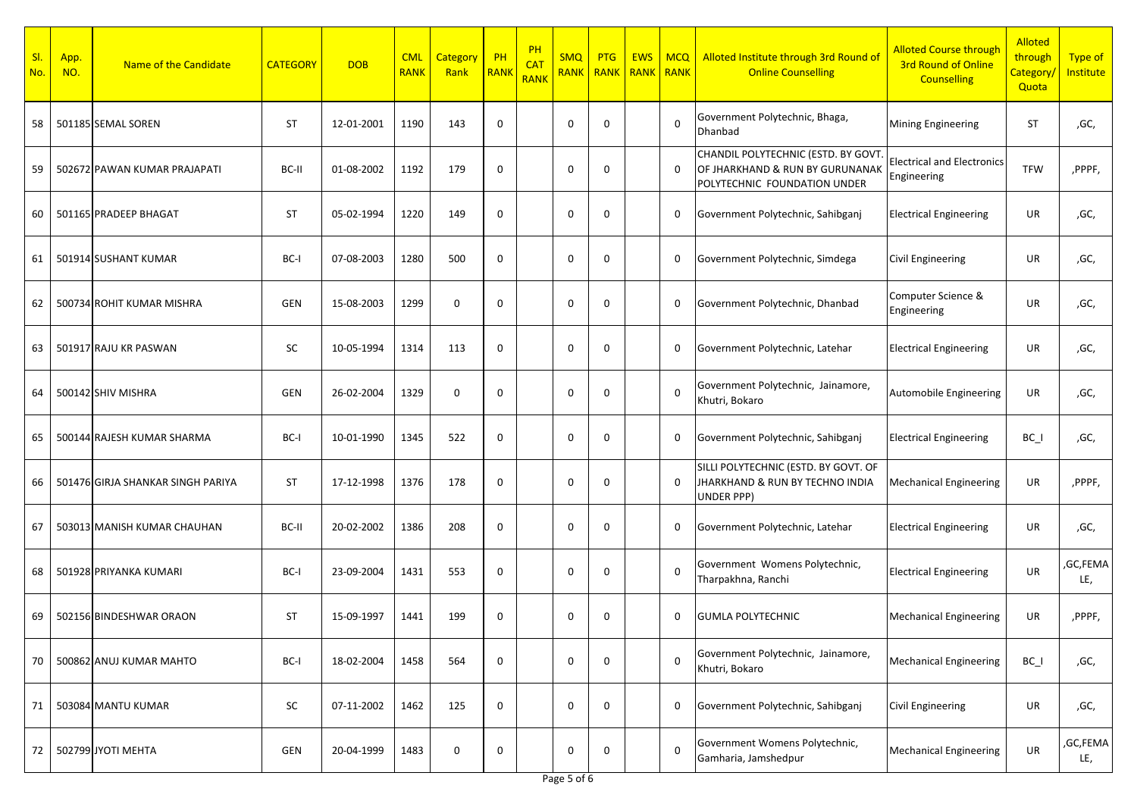| SI.<br>No. | App.<br>NO. | Name of the Candidate             | <b>CATEGORY</b> | <b>DOB</b> | <b>CML</b><br><b>RANK</b> | <b>Category</b><br>Rank | PH<br>RANK   | PH<br><b>CAT</b><br><b>RANK</b> | <b>SMQ</b><br><b>RANK</b> | <b>PTG</b><br><b>RANK</b> | <b>EWS</b><br><b>RANK</b> | <b>MCQ</b><br><b>RANK</b> | Alloted Institute through 3rd Round of<br><b>Online Counselling</b>                                    | <b>Alloted Course through</b><br><b>3rd Round of Online</b><br><b>Counselling</b> | <b>Alloted</b><br>through<br>Category/<br>Quota | <b>Type of</b><br><b>Institute</b> |
|------------|-------------|-----------------------------------|-----------------|------------|---------------------------|-------------------------|--------------|---------------------------------|---------------------------|---------------------------|---------------------------|---------------------------|--------------------------------------------------------------------------------------------------------|-----------------------------------------------------------------------------------|-------------------------------------------------|------------------------------------|
| 58         |             | 501185 SEMAL SOREN                | <b>ST</b>       | 12-01-2001 | 1190                      | 143                     | $\mathbf 0$  |                                 | $\mathbf 0$               | $\Omega$                  |                           | $\Omega$                  | Government Polytechnic, Bhaga,<br>Dhanbad                                                              | Mining Engineering                                                                | <b>ST</b>                                       | ,GC,                               |
| 59         |             | 502672 PAWAN KUMAR PRAJAPATI      | BC-II           | 01-08-2002 | 1192                      | 179                     | $\mathbf 0$  |                                 | $\mathbf 0$               | $\Omega$                  |                           | $\mathbf{0}$              | CHANDIL POLYTECHNIC (ESTD. BY GOVT.<br>OF JHARKHAND & RUN BY GURUNANAK<br>POLYTECHNIC FOUNDATION UNDER | <b>Electrical and Electronics</b><br>Engineering                                  | <b>TFW</b>                                      | ,PPPF,                             |
| 60         |             | 501165 PRADEEP BHAGAT             | ST              | 05-02-1994 | 1220                      | 149                     | $\mathbf 0$  |                                 | $\mathbf 0$               | $\Omega$                  |                           | 0                         | Government Polytechnic, Sahibganj                                                                      | <b>Electrical Engineering</b>                                                     | UR                                              | ,GC,                               |
| 61         |             | 501914 SUSHANT KUMAR              | BC-I            | 07-08-2003 | 1280                      | 500                     | $\mathbf{0}$ |                                 | $\mathbf 0$               | 0                         |                           | 0                         | Government Polytechnic, Simdega                                                                        | <b>Civil Engineering</b>                                                          | UR                                              | ,GC,                               |
| 62         |             | 500734 ROHIT KUMAR MISHRA         | GEN             | 15-08-2003 | 1299                      | $\mathbf 0$             | $\mathbf 0$  |                                 | $\mathbf 0$               | $\Omega$                  |                           | $\mathbf 0$               | Government Polytechnic, Dhanbad                                                                        | Computer Science &<br>Engineering                                                 | <b>UR</b>                                       | ,GC,                               |
| 63         |             | 501917 RAJU KR PASWAN             | SC              | 10-05-1994 | 1314                      | 113                     | $\mathbf{0}$ |                                 | $\mathbf 0$               | $\Omega$                  |                           | 0                         | Government Polytechnic, Latehar                                                                        | <b>Electrical Engineering</b>                                                     | <b>UR</b>                                       | ,GC,                               |
| 64         |             | 500142 SHIV MISHRA                | GEN             | 26-02-2004 | 1329                      | $\mathbf 0$             | $\mathbf 0$  |                                 | $\mathbf 0$               | $\Omega$                  |                           | $\Omega$                  | Government Polytechnic, Jainamore,<br>Khutri, Bokaro                                                   | Automobile Engineering                                                            | UR                                              | ,GC,                               |
| 65         |             | 500144 RAJESH KUMAR SHARMA        | BC-I            | 10-01-1990 | 1345                      | 522                     | $\mathbf{0}$ |                                 | $\Omega$                  | $\Omega$                  |                           | 0                         | Government Polytechnic, Sahibganj                                                                      | <b>Electrical Engineering</b>                                                     | $BC_$                                           | ,GC,                               |
| 66         |             | 501476 GIRJA SHANKAR SINGH PARIYA | ST              | 17-12-1998 | 1376                      | 178                     | $\mathbf{0}$ |                                 | $\mathbf 0$               | $\Omega$                  |                           | $\Omega$                  | SILLI POLYTECHNIC (ESTD. BY GOVT. OF<br>JHARKHAND & RUN BY TECHNO INDIA<br>UNDER PPP)                  | <b>Mechanical Engineering</b>                                                     | UR                                              | ,PPPF,                             |
| 67         |             | 503013 MANISH KUMAR CHAUHAN       | BC-II           | 20-02-2002 | 1386                      | 208                     | $\mathbf{0}$ |                                 | $\mathbf 0$               | $\Omega$                  |                           | $\mathbf 0$               | Government Polytechnic, Latehar                                                                        | <b>Electrical Engineering</b>                                                     | <b>UR</b>                                       | ,GC,                               |
| 68         |             | 501928 PRIYANKA KUMARI            | BC-I            | 23-09-2004 | 1431                      | 553                     | $\mathbf 0$  |                                 | $\mathbf 0$               | $\Omega$                  |                           | $\Omega$                  | Government Womens Polytechnic,<br>Tharpakhna, Ranchi                                                   | <b>Electrical Engineering</b>                                                     | UR                                              | ,GC,FEMA<br>LE,                    |
| 69         |             | 502156 BINDESHWAR ORAON           | ST              | 15-09-1997 | 1441                      | 199                     | $\mathbf{0}$ |                                 | $\mathbf 0$               | $\Omega$                  |                           | 0                         | <b>GUMLA POLYTECHNIC</b>                                                                               | <b>Mechanical Engineering</b>                                                     | UR                                              | ,PPPF,                             |
| 70         |             | 500862 ANUJ KUMAR MAHTO           | BC-I            | 18-02-2004 | 1458                      | 564                     | $\mathbf 0$  |                                 | $\mathbf 0$               | 0                         |                           | $\Omega$                  | Government Polytechnic, Jainamore,<br>Khutri, Bokaro                                                   | <b>Mechanical Engineering</b>                                                     | $BC_$                                           | ,GC,                               |
| 71         |             | 503084 MANTU KUMAR                | SC              | 07-11-2002 | 1462                      | 125                     | $\mathbf 0$  |                                 | $\mathbf 0$               | 0                         |                           | 0                         | Government Polytechnic, Sahibganj                                                                      | <b>Civil Engineering</b>                                                          | UR                                              | ,GC,                               |
| 72         |             | 502799 JYOTI MEHTA                | GEN             | 20-04-1999 | 1483                      | $\mathbf 0$             | $\mathbf 0$  |                                 | 0                         | 0                         |                           | $\Omega$                  | Government Womens Polytechnic,<br>Gamharia, Jamshedpur                                                 | <b>Mechanical Engineering</b>                                                     | UR                                              | ,GC,FEMA<br>LE,                    |